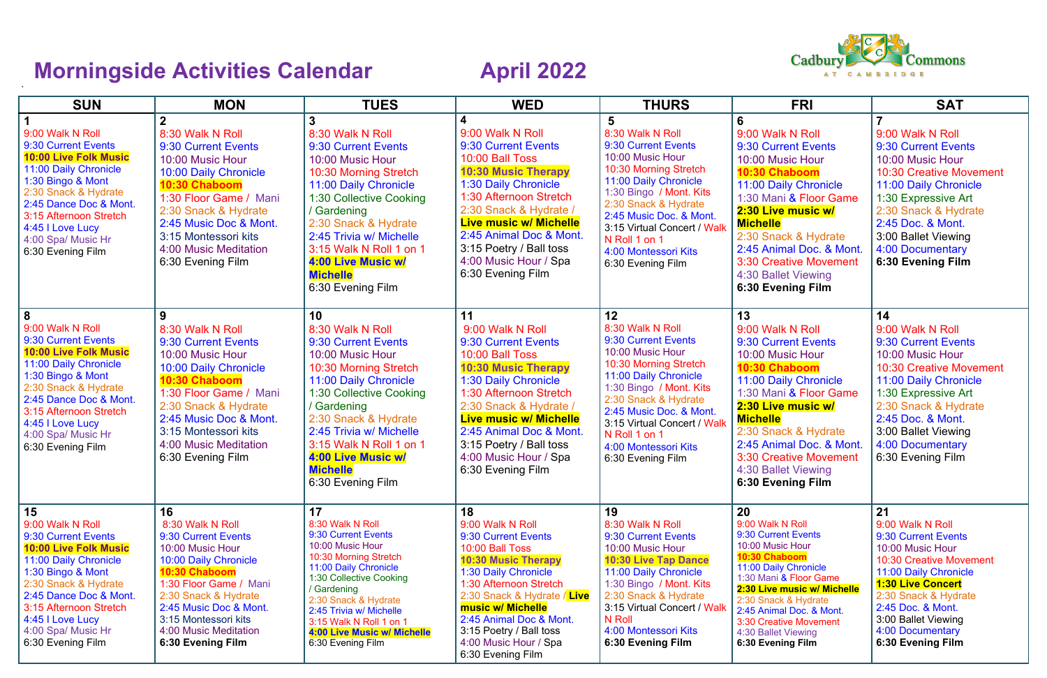## **Morningside Activities Calendar April 2022**

| <b>SUN</b>                                                                                                                                                                                                                                                             | <b>MON</b>                                                                                                                                                                                                                                                    | <b>TUES</b>                                                                                                                                                                                                                                                                                               | <b>WED</b>                                                                                                                                                                                                                                                                                                      | <b>THURS</b>                                                                                                                                                                                                                                                                                               | <b>FRI</b>                                                                                                                                                                                                                                                                                                      | <b>SAT</b>                                                                                                                                                                                                                                                            |
|------------------------------------------------------------------------------------------------------------------------------------------------------------------------------------------------------------------------------------------------------------------------|---------------------------------------------------------------------------------------------------------------------------------------------------------------------------------------------------------------------------------------------------------------|-----------------------------------------------------------------------------------------------------------------------------------------------------------------------------------------------------------------------------------------------------------------------------------------------------------|-----------------------------------------------------------------------------------------------------------------------------------------------------------------------------------------------------------------------------------------------------------------------------------------------------------------|------------------------------------------------------------------------------------------------------------------------------------------------------------------------------------------------------------------------------------------------------------------------------------------------------------|-----------------------------------------------------------------------------------------------------------------------------------------------------------------------------------------------------------------------------------------------------------------------------------------------------------------|-----------------------------------------------------------------------------------------------------------------------------------------------------------------------------------------------------------------------------------------------------------------------|
| 9:00 Walk N Roll<br>9:30 Current Events<br><b>10:00 Live Folk Music</b><br>11:00 Daily Chronicle<br>1:30 Bingo & Mont<br>2:30 Snack & Hydrate<br>2:45 Dance Doc & Mont.<br>3:15 Afternoon Stretch<br>4:45   Love Lucy<br>4:00 Spa/ Music Hr<br>6:30 Evening Film       | 8:30 Walk N Roll<br>9:30 Current Events<br>10:00 Music Hour<br>10:00 Daily Chronicle<br>10:30 Chaboom<br>1:30 Floor Game / Mani<br>2:30 Snack & Hydrate<br>2:45 Music Doc & Mont.<br>3:15 Montessori kits<br>4:00 Music Meditation<br>6:30 Evening Film       | 3<br>8:30 Walk N Roll<br>9:30 Current Events<br>10:00 Music Hour<br>10:30 Morning Stretch<br>11:00 Daily Chronicle<br>1:30 Collective Cooking<br>/ Gardening<br>2:30 Snack & Hydrate<br>2:45 Trivia w/ Michelle<br>3:15 Walk N Roll 1 on 1<br>4:00 Live Music w/<br><b>Michelle</b><br>6:30 Evening Film  | 9:00 Walk N Roll<br>9:30 Current Events<br>10:00 Ball Toss<br><b>10:30 Music Therapy</b><br>1:30 Daily Chronicle<br>1:30 Afternoon Stretch<br>2:30 Snack & Hydrate /<br><b>Live music w/ Michelle</b><br>2:45 Animal Doc & Mont.<br>3:15 Poetry / Ball toss<br>4:00 Music Hour / Spa<br>6:30 Evening Film       | $5\phantom{1}$<br>8:30 Walk N Roll<br>9:30 Current Events<br>10:00 Music Hour<br>10:30 Morning Stretch<br>11:00 Daily Chronicle<br>1:30 Bingo / Mont. Kits<br>2:30 Snack & Hydrate<br>2:45 Music Doc. & Mont.<br>3:15 Virtual Concert / Walk<br>N Roll 1 on 1<br>4:00 Montessori Kits<br>6:30 Evening Film | 6<br>9:00 Walk N Roll<br>9:30 Current Events<br>10:00 Music Hour<br>10:30 Chaboom<br>11:00 Daily Chronicle<br>1:30 Mani & Floor Game<br>2:30 Live music w/<br><b>Michelle</b><br>2:30 Snack & Hydrate<br>2:45 Animal Doc. & Mont.<br><b>3:30 Creative Movement</b><br>4:30 Ballet Viewing<br>6:30 Evening Film  | 9:00 Walk N Roll<br>9:30 Current Events<br>10:00 Music Hour<br><b>10:30 Creative Movement</b><br>11:00 Daily Chronicle<br>1:30 Expressive Art<br>2:30 Snack & Hydrate<br>2:45 Doc. & Mont.<br>3:00 Ballet Viewing<br>4:00 Documentary<br>6:30 Evening Film            |
| 8<br>9:00 Walk N Roll<br>9:30 Current Events<br><b>10:00 Live Folk Music</b><br>11:00 Daily Chronicle<br>1:30 Bingo & Mont<br>2:30 Snack & Hydrate<br>2:45 Dance Doc & Mont.<br>3:15 Afternoon Stretch<br>4:45   Love Lucy<br>4:00 Spa/ Music Hr<br>6:30 Evening Film  | 9<br>8:30 Walk N Roll<br>9:30 Current Events<br>10:00 Music Hour<br>10:00 Daily Chronicle<br>10:30 Chaboom<br>1:30 Floor Game / Mani<br>2:30 Snack & Hydrate<br>2:45 Music Doc & Mont.<br>3:15 Montessori kits<br>4:00 Music Meditation<br>6:30 Evening Film  | 10<br>8:30 Walk N Roll<br>9:30 Current Events<br>10:00 Music Hour<br>10:30 Morning Stretch<br>11:00 Daily Chronicle<br>1:30 Collective Cooking<br>/ Gardening<br>2:30 Snack & Hydrate<br>2:45 Trivia w/ Michelle<br>3:15 Walk N Roll 1 on 1<br>4:00 Live Music w/<br><b>Michelle</b><br>6:30 Evening Film | 11<br>9:00 Walk N Roll<br>9:30 Current Events<br>10:00 Ball Toss<br><b>10:30 Music Therapy</b><br>1:30 Daily Chronicle<br>1:30 Afternoon Stretch<br>2:30 Snack & Hydrate /<br><b>Live music w/ Michelle</b><br>2:45 Animal Doc & Mont.<br>3:15 Poetry / Ball toss<br>4:00 Music Hour / Spa<br>6:30 Evening Film | 12<br>8:30 Walk N Roll<br>9:30 Current Events<br>10:00 Music Hour<br>10:30 Morning Stretch<br>11:00 Daily Chronicle<br>1:30 Bingo / Mont. Kits<br>2:30 Snack & Hydrate<br>2:45 Music Doc. & Mont.<br>3:15 Virtual Concert / Walk<br>N Roll 1 on 1<br>4:00 Montessori Kits<br>6:30 Evening Film             | 13<br>9:00 Walk N Roll<br>9:30 Current Events<br>10:00 Music Hour<br>10:30 Chaboom<br>11:00 Daily Chronicle<br>1:30 Mani & Floor Game<br>2:30 Live music w/<br><b>Michelle</b><br>2:30 Snack & Hydrate<br>2:45 Animal Doc. & Mont.<br><b>3:30 Creative Movement</b><br>4:30 Ballet Viewing<br>6:30 Evening Film | 14<br>9:00 Walk N Roll<br>9:30 Current Events<br>10:00 Music Hour<br><b>10:30 Creative Movement</b><br>11:00 Daily Chronicle<br>1:30 Expressive Art<br>2:30 Snack & Hydrate<br>2:45 Doc. & Mont.<br>3:00 Ballet Viewing<br>4:00 Documentary<br>6:30 Evening Film      |
| 15<br>9:00 Walk N Roll<br>9:30 Current Events<br><b>10:00 Live Folk Music</b><br>11:00 Daily Chronicle<br>1:30 Bingo & Mont<br>2:30 Snack & Hydrate<br>2:45 Dance Doc & Mont.<br>3:15 Afternoon Stretch<br>4:45 I Love Lucy<br>4:00 Spa/ Music Hr<br>6:30 Evening Film | 16<br>8:30 Walk N Roll<br>9:30 Current Events<br>10:00 Music Hour<br>10:00 Daily Chronicle<br>10:30 Chaboom<br>1:30 Floor Game / Mani<br>2:30 Snack & Hydrate<br>2:45 Music Doc & Mont.<br>3:15 Montessori kits<br>4:00 Music Meditation<br>6:30 Evening Film | 17<br>8:30 Walk N Roll<br>9:30 Current Events<br>10:00 Music Hour<br>10:30 Morning Stretch<br>11:00 Daily Chronicle<br>1:30 Collective Cooking<br>/ Gardening<br>2:30 Snack & Hydrate<br>2:45 Trivia w/ Michelle<br>3:15 Walk N Roll 1 on 1<br>4:00 Live Music w/ Michelle<br>6:30 Evening Film           | 18<br>9:00 Walk N Roll<br>9:30 Current Events<br>10:00 Ball Toss<br><b>10:30 Music Therapy</b><br>1:30 Daily Chronicle<br>1:30 Afternoon Stretch<br>2:30 Snack & Hydrate / Live<br>music w/ Michelle<br>2:45 Animal Doc & Mont.<br>3:15 Poetry / Ball toss<br>4:00 Music Hour / Spa<br>6:30 Evening Film        | 19<br>8:30 Walk N Roll<br>9:30 Current Events<br>10:00 Music Hour<br><b>10:30 Live Tap Dance</b><br>11:00 Daily Chronicle<br>1:30 Bingo / Mont. Kits<br>2:30 Snack & Hydrate<br>3:15 Virtual Concert / Walk<br>N Roll<br>4:00 Montessori Kits<br>6:30 Evening Film                                         | 20<br>9:00 Walk N Roll<br>9:30 Current Events<br>10:00 Music Hour<br>10:30 Chaboom<br>11:00 Daily Chronicle<br>1:30 Mani & Floor Game<br>2:30 Live music w/ Michelle<br>2:30 Snack & Hydrate<br>2:45 Animal Doc. & Mont.<br>3:30 Creative Movement<br>4:30 Ballet Viewing<br>6:30 Evening Film                  | 21<br>9:00 Walk N Roll<br>9:30 Current Events<br>10:00 Music Hour<br><b>10:30 Creative Movement</b><br>11:00 Daily Chronicle<br><b>1:30 Live Concert</b><br>2:30 Snack & Hydrate<br>2:45 Doc. & Mont.<br>3:00 Ballet Viewing<br>4:00 Documentary<br>6:30 Evening Film |